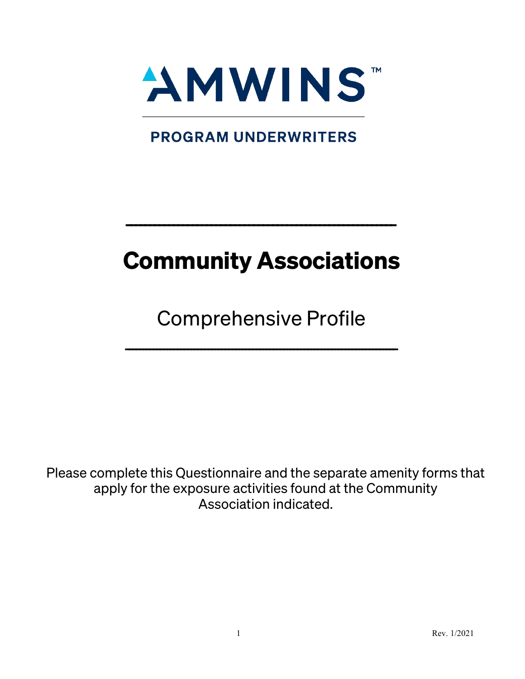

**PROGRAM UNDERWRITERS** 

# Community Associations

---------------------------------------------------------

Comprehensive Profile

 $--\frac{1}{2}$ 

Please complete this Questionnaire and the separate amenity forms that apply for the exposure activities found at the Community Association indicated.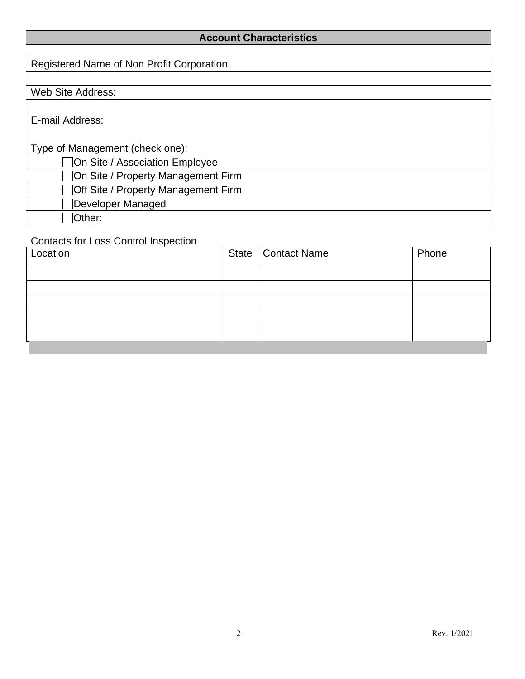### **Account Characteristics**

| Registered Name of Non Profit Corporation: |
|--------------------------------------------|
|                                            |
|                                            |
| Web Site Address:                          |
|                                            |
| E-mail Address:                            |
|                                            |
| Type of Management (check one):            |
| On Site / Association Employee             |
| On Site / Property Management Firm         |
| Off Site / Property Management Firm        |
| Developer Managed                          |
| lOther:                                    |

### Contacts for Loss Control Inspection

| Location |  | State   Contact Name | Phone |
|----------|--|----------------------|-------|
|          |  |                      |       |
|          |  |                      |       |
|          |  |                      |       |
|          |  |                      |       |
|          |  |                      |       |
|          |  |                      |       |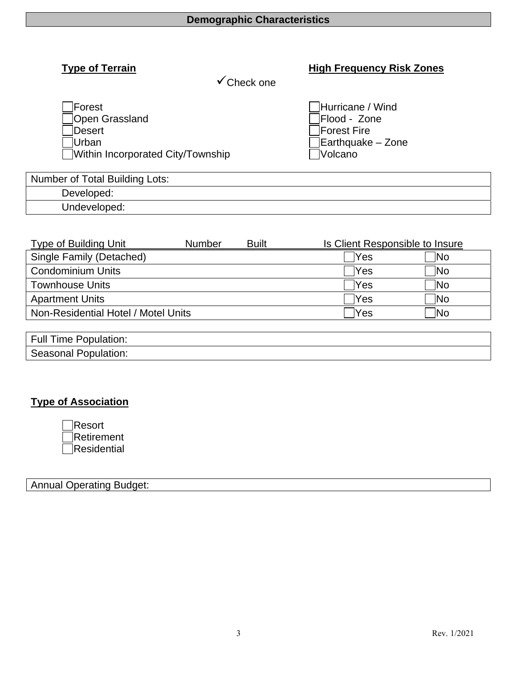# **Type of Terrain High Frequency Risk Zones**

 $\checkmark$ Check one

| Forest                            | Hurricane / Wind          |
|-----------------------------------|---------------------------|
|                                   |                           |
| Open Grassland                    | Flood - Zone              |
| <b>Oesert</b>                     | Forest Fire               |
| ้ lUrban                          | $\vert$ Earthquake – Zone |
| Within Incorporated City/Township | <b>Volcano</b>            |

| <b>Number of Total Building Lots:</b> |  |
|---------------------------------------|--|
| Developed:                            |  |
| Undeveloped:                          |  |

| <b>Type of Building Unit</b>        | <b>Number</b> | <b>Built</b> | <b>Is Client Responsible to Insure</b> |            |
|-------------------------------------|---------------|--------------|----------------------------------------|------------|
| Single Family (Detached)            |               |              | lYes                                   | INo        |
| <b>Condominium Units</b>            |               |              | lYes                                   | <b>No</b>  |
| <b>Townhouse Units</b>              |               |              | <b>Yes</b>                             | <b>No</b>  |
| <b>Apartment Units</b>              |               |              | lYes                                   | 1No        |
| Non-Residential Hotel / Motel Units |               |              | lYes                                   | <b>INo</b> |
|                                     |               |              |                                        |            |

| Full<br>Population:<br>ıme   |  |
|------------------------------|--|
| -opulation'<br>seasonal<br>ັ |  |

## **Type of Association**

| Resort      |
|-------------|
| Retirement  |
| Residential |

#### Annual Operating Budget: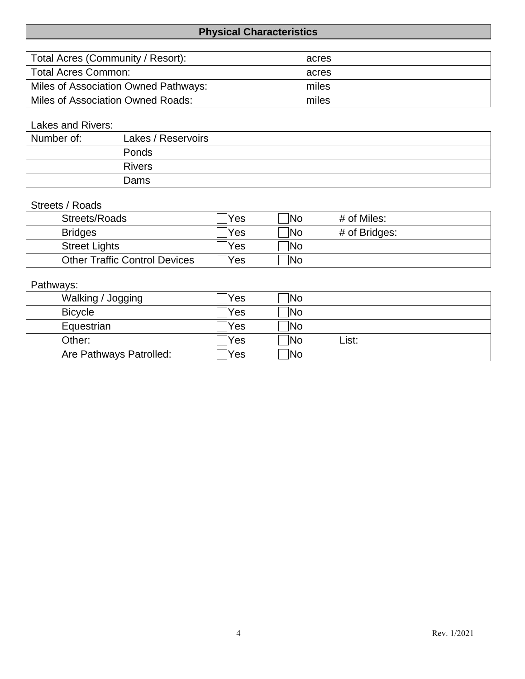# **Physical Characteristics**

| Total Acres (Community / Resort):    | acres |
|--------------------------------------|-------|
| Total Acres Common:                  | acres |
| Miles of Association Owned Pathways: | miles |
| Miles of Association Owned Roads:    | miles |

# Lakes and Rivers:

| Number of: | Lakes / Reservoirs |
|------------|--------------------|
|            | Ponds              |
|            | <b>Rivers</b>      |
|            | Dams               |

#### Streets / Roads

| Streets/Roads                        | 'Yes | $\overline{\mathsf{No}}$ | # of Miles:   |
|--------------------------------------|------|--------------------------|---------------|
| <b>Bridges</b>                       | Yes  | <b>No</b>                | # of Bridges: |
| <b>Street Lights</b>                 | Yes  | <b>No</b>                |               |
| <b>Other Traffic Control Devices</b> | Yes  | <b>No</b>                |               |

# Pathways:

| Walking / Jogging       | Yes | <b>No</b>                |       |  |
|-------------------------|-----|--------------------------|-------|--|
| <b>Bicycle</b>          | Yes | $\overline{\text{No}}$   |       |  |
| Equestrian              | Yes | <b>No</b>                |       |  |
| Other:                  | Yes | $\overline{\text{No}}$   | ∟ist: |  |
| Are Pathways Patrolled: | Yes | $\overline{\mathsf{No}}$ |       |  |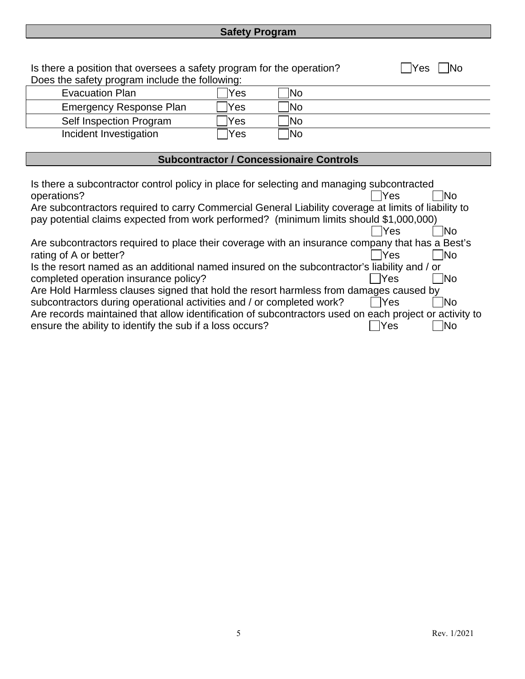# **Safety Program**

| Is there a position that oversees a safety program for the operation?                                                                                                                                            |     |                                                |            | Yes<br>lN∩ |
|------------------------------------------------------------------------------------------------------------------------------------------------------------------------------------------------------------------|-----|------------------------------------------------|------------|------------|
| Does the safety program include the following:                                                                                                                                                                   |     |                                                |            |            |
| <b>Evacuation Plan</b>                                                                                                                                                                                           | Yes | No                                             |            |            |
| <b>Emergency Response Plan</b>                                                                                                                                                                                   | Yes | No.                                            |            |            |
| Self Inspection Program                                                                                                                                                                                          | Yes | No.                                            |            |            |
| Incident Investigation                                                                                                                                                                                           | Yes | Mo]                                            |            |            |
|                                                                                                                                                                                                                  |     |                                                |            |            |
|                                                                                                                                                                                                                  |     | <b>Subcontractor / Concessionaire Controls</b> |            |            |
| Is there a subcontractor control policy in place for selecting and managing subcontracted<br>operations?<br>Are subcontractors required to carry Commercial General Liability coverage at limits of liability to |     |                                                | <b>Yes</b> | INo.       |
| pay potential claims expected from work performed? (minimum limits should \$1,000,000)                                                                                                                           |     |                                                | <b>Yes</b> | lNo.       |
| Are subcontractors required to place their coverage with an insurance company that has a Best's<br>rating of A or better?                                                                                        |     |                                                | <b>Yes</b> | No         |
| Is the resort named as an additional named insured on the subcontractor's liability and / or<br>completed operation insurance policy?                                                                            |     |                                                | lYes       | <b>INo</b> |
| Are Hold Harmless clauses signed that hold the resort harmless from damages caused by                                                                                                                            |     |                                                |            |            |
| subcontractors during operational activities and / or completed work?                                                                                                                                            |     |                                                | Yes        | <b>No</b>  |
| Are records maintained that allow identification of subcontractors used on each project or activity to                                                                                                           |     |                                                |            |            |
| ensure the ability to identify the sub if a loss occurs?                                                                                                                                                         |     |                                                | Yes        | No         |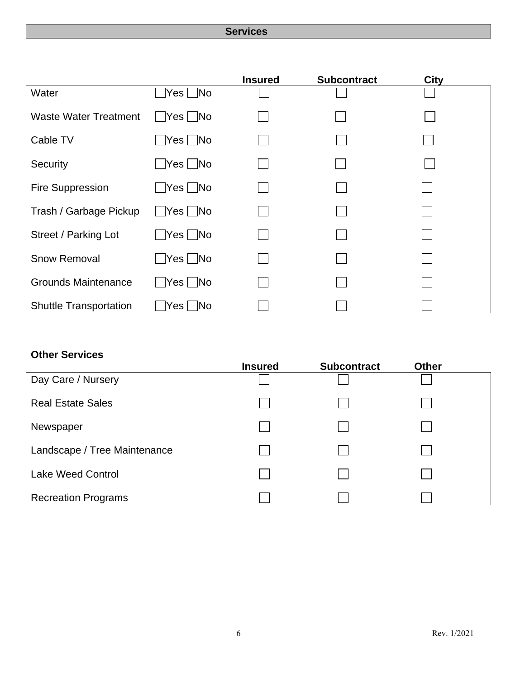#### **Services**

|                               |                            | <b>Insured</b> | <b>Subcontract</b> | <b>City</b> |  |
|-------------------------------|----------------------------|----------------|--------------------|-------------|--|
| Water                         | $Yes \Box No$              |                |                    |             |  |
| <b>Waste Water Treatment</b>  | $\Box$ Yes $\Box$ No       |                |                    |             |  |
| Cable TV                      | $\Box$ Yes $\Box$ No       |                |                    |             |  |
| Security                      | $\bigcap$ Yes $\bigcap$ No |                |                    |             |  |
| Fire Suppression              | $\Box$ Yes $\Box$ No       |                |                    |             |  |
| Trash / Garbage Pickup        | $\Box$ Yes $\Box$ No       |                |                    |             |  |
| Street / Parking Lot          | $\Box$ Yes $\Box$ No       |                |                    |             |  |
| <b>Snow Removal</b>           | $\Box$ Yes $\Box$ No       |                |                    |             |  |
| <b>Grounds Maintenance</b>    | $\Box$ Yes $\Box$ No       |                |                    |             |  |
| <b>Shuttle Transportation</b> | $\Box$ No<br>Yes           |                |                    |             |  |

#### **Other Services**

|                              | <b>Insured</b> | <b>Subcontract</b> | <b>Other</b> |  |
|------------------------------|----------------|--------------------|--------------|--|
| Day Care / Nursery           |                |                    |              |  |
| <b>Real Estate Sales</b>     |                |                    |              |  |
| Newspaper                    |                |                    |              |  |
| Landscape / Tree Maintenance |                |                    |              |  |
| <b>Lake Weed Control</b>     |                |                    |              |  |
| <b>Recreation Programs</b>   |                |                    |              |  |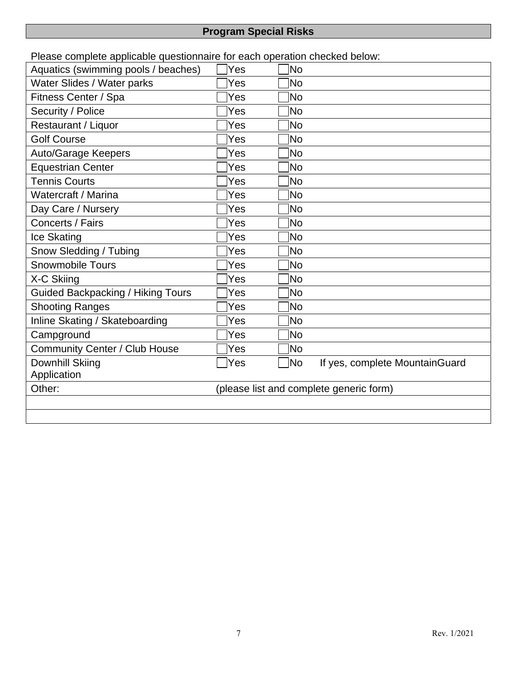# **Program Special Risks**

Please complete applicable questionnaire for each operation checked below:

| $\cdots$ prove or provided to $\sim$<br>Aquatics (swimming pools / beaches) | Yes                                     | lNo            |                                |
|-----------------------------------------------------------------------------|-----------------------------------------|----------------|--------------------------------|
| Water Slides / Water parks                                                  | Yes                                     | lNo            |                                |
| Fitness Center / Spa                                                        | Yes                                     | No             |                                |
| Security / Police                                                           | Yes                                     | lNo            |                                |
| Restaurant / Liquor                                                         | Yes                                     | N <sub>o</sub> |                                |
| <b>Golf Course</b>                                                          | Yes                                     | Mo]            |                                |
| <b>Auto/Garage Keepers</b>                                                  | Yes                                     | No.            |                                |
| <b>Equestrian Center</b>                                                    | Yes                                     | lNo            |                                |
| <b>Tennis Courts</b>                                                        | Yes                                     | lNo            |                                |
| Watercraft / Marina                                                         | Yes                                     | No             |                                |
| Day Care / Nursery                                                          | Yes                                     | lNo            |                                |
| Concerts / Fairs                                                            | Yes                                     | No.            |                                |
| Ice Skating                                                                 | Yes                                     | No!            |                                |
| Snow Sledding / Tubing                                                      | Yes                                     | No.            |                                |
| <b>Snowmobile Tours</b>                                                     | Yes                                     | No)            |                                |
| X-C Skiing                                                                  | Yes                                     | ÌNo            |                                |
| <b>Guided Backpacking / Hiking Tours</b>                                    | Yes                                     | ∣No            |                                |
| <b>Shooting Ranges</b>                                                      | Yes                                     | <b>INo</b>     |                                |
| Inline Skating / Skateboarding                                              | Yes                                     | No.            |                                |
| Campground                                                                  | Yes                                     | No.            |                                |
| <b>Community Center / Club House</b>                                        | Yes                                     | No.            |                                |
| Downhill Skiing                                                             | Yes                                     | 1No            | If yes, complete MountainGuard |
| Application                                                                 |                                         |                |                                |
| Other:                                                                      | (please list and complete generic form) |                |                                |
|                                                                             |                                         |                |                                |
|                                                                             |                                         |                |                                |